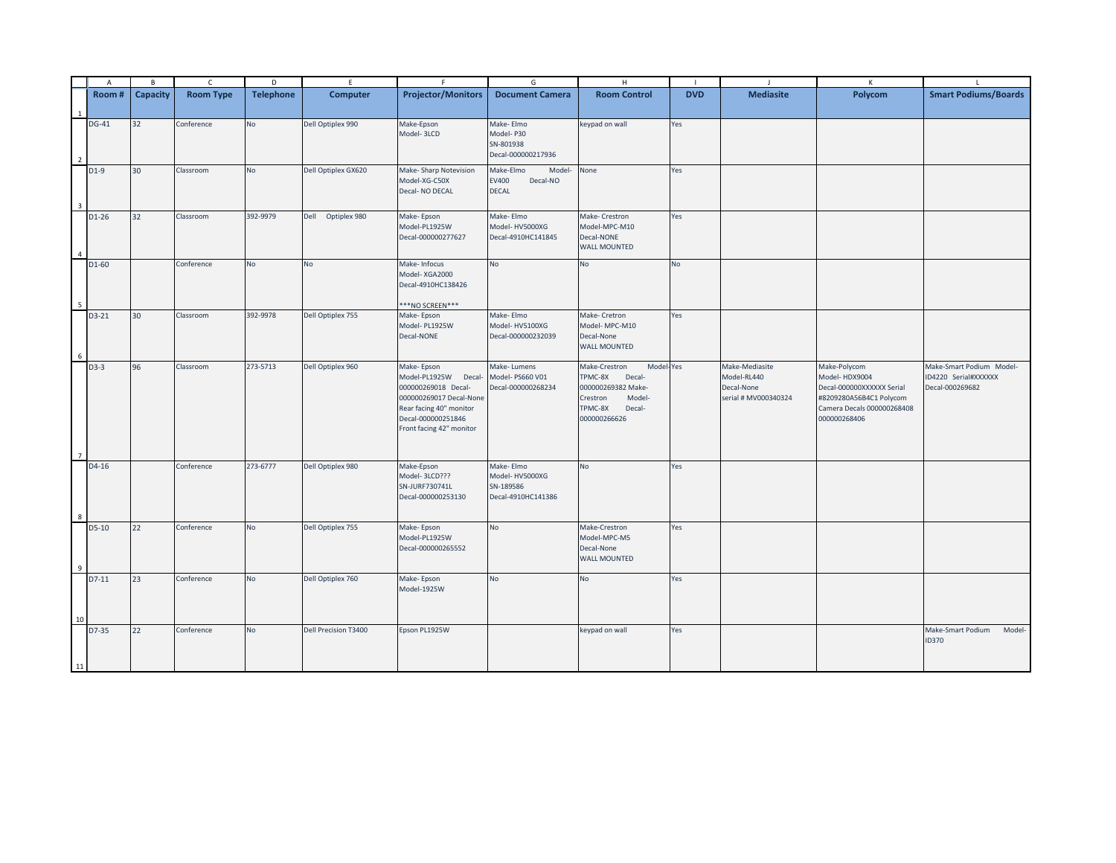|                | $\overline{A}$ | B        | $\mathsf{C}$     | D                | E                    | F                         | G                      | H                          |                | $\mathbf{I}$         | $\mathsf{K}$               |                             |
|----------------|----------------|----------|------------------|------------------|----------------------|---------------------------|------------------------|----------------------------|----------------|----------------------|----------------------------|-----------------------------|
|                | Room#          | Capacity | <b>Room Type</b> | <b>Telephone</b> | <b>Computer</b>      | <b>Projector/Monitors</b> | <b>Document Camera</b> | <b>Room Control</b>        | <b>DVD</b>     | <b>Mediasite</b>     | Polycom                    | <b>Smart Podiums/Boards</b> |
|                |                |          |                  |                  |                      |                           |                        |                            |                |                      |                            |                             |
|                |                |          |                  |                  |                      |                           |                        |                            |                |                      |                            |                             |
|                | DG-41          | 32       | Conference       | No               | Dell Optiplex 990    | Make-Epson                | Make-Elmo              | keypad on wall             | Yes            |                      |                            |                             |
|                |                |          |                  |                  |                      | Model-3LCD                | Model-P30<br>SN-801938 |                            |                |                      |                            |                             |
|                |                |          |                  |                  |                      |                           | Decal-000000217936     |                            |                |                      |                            |                             |
| $\overline{2}$ |                |          |                  |                  |                      |                           |                        |                            |                |                      |                            |                             |
|                | $D1-9$         | 30       | Classroom        | No               | Dell Optiplex GX620  | Make-Sharp Notevision     | Make-Elmo<br>Model-    | None                       | Yes            |                      |                            |                             |
|                |                |          |                  |                  |                      | Model-XG-C50X             | EV400<br>Decal-NO      |                            |                |                      |                            |                             |
|                |                |          |                  |                  |                      | Decal-NO DECAL            | <b>DECAL</b>           |                            |                |                      |                            |                             |
|                |                |          |                  |                  |                      |                           |                        |                            |                |                      |                            |                             |
|                | $D1-26$        | 32       | Classroom        | 392-9979         | Dell Optiplex 980    | Make-Epson                | Make-Elmo              | Make- Crestron             | Yes            |                      |                            |                             |
|                |                |          |                  |                  |                      | Model-PL1925W             | Model-HV5000XG         | Model-MPC-M10              |                |                      |                            |                             |
|                |                |          |                  |                  |                      | Decal-000000277627        | Decal-4910HC141845     | Decal-NONE                 |                |                      |                            |                             |
|                |                |          |                  |                  |                      |                           |                        | <b>WALL MOUNTED</b>        |                |                      |                            |                             |
|                | D1-60          |          | Conference       | <b>No</b>        | <b>No</b>            | Make-Infocus              | No                     | No                         | N <sub>o</sub> |                      |                            |                             |
|                |                |          |                  |                  |                      | Model-XGA2000             |                        |                            |                |                      |                            |                             |
|                |                |          |                  |                  |                      | Decal-4910HC138426        |                        |                            |                |                      |                            |                             |
|                |                |          |                  |                  |                      |                           |                        |                            |                |                      |                            |                             |
|                |                |          |                  |                  |                      | ***NO SCREEN***           |                        |                            |                |                      |                            |                             |
|                | D3-21          | 30       | Classroom        | 392-9978         | Dell Optiplex 755    | Make-Epson                | Make-Elmo              | Make- Cretron              | Yes            |                      |                            |                             |
|                |                |          |                  |                  |                      | Model-PL1925W             | Model-HV5100XG         | Model-MPC-M10              |                |                      |                            |                             |
|                |                |          |                  |                  |                      | Decal-NONE                | Decal-000000232039     | Decal-None                 |                |                      |                            |                             |
| -6             |                |          |                  |                  |                      |                           |                        | <b>WALL MOUNTED</b>        |                |                      |                            |                             |
|                | D3-3           | 96       | Classroom        | 273-5713         | Dell Optiplex 960    | Make-Epson                | Make-Lumens            | Make-Crestron<br>Model-Yes |                | Make-Mediasite       | Make-Polycom               | Make-Smart Podium Model-    |
|                |                |          |                  |                  |                      | Model-PL1925W<br>Decal-   | Model-PS660 V01        | TPMC-8X<br>Decal-          |                | Model-RL440          | Model-HDX9004              | ID4220 Serial#XXXXXX        |
|                |                |          |                  |                  |                      | 000000269018 Decal-       | Decal-000000268234     | 000000269382 Make-         |                | Decal-None           | Decal-000000XXXXXX Serial  | Decal-000269682             |
|                |                |          |                  |                  |                      | 000000269017 Decal-None   |                        | Crestron<br>Model-         |                | serial # MV000340324 | #8209280A56B4C1 Polycom    |                             |
|                |                |          |                  |                  |                      | Rear facing 40" monitor   |                        | TPMC-8X<br>Decal-          |                |                      | Camera Decals 000000268408 |                             |
|                |                |          |                  |                  |                      | Decal-000000251846        |                        | 000000266626               |                |                      | 000000268406               |                             |
|                |                |          |                  |                  |                      | Front facing 42" monitor  |                        |                            |                |                      |                            |                             |
|                |                |          |                  |                  |                      |                           |                        |                            |                |                      |                            |                             |
| $\overline{7}$ |                |          |                  |                  |                      |                           |                        |                            |                |                      |                            |                             |
|                | D4-16          |          | Conference       | 273-6777         | Dell Optiplex 980    | Make-Epson                | Make-Elmo              | No                         | Yes            |                      |                            |                             |
|                |                |          |                  |                  |                      | Model-3LCD???             | Model-HV5000XG         |                            |                |                      |                            |                             |
|                |                |          |                  |                  |                      | SN-JURF730741L            | SN-189586              |                            |                |                      |                            |                             |
|                |                |          |                  |                  |                      | Decal-000000253130        | Decal-4910HC141386     |                            |                |                      |                            |                             |
| 8              |                |          |                  |                  |                      |                           |                        |                            |                |                      |                            |                             |
|                | D5-10          | 22       | Conference       | No               | Dell Optiplex 755    | Make-Epson                | <b>No</b>              | Make-Crestron              | Yes            |                      |                            |                             |
|                |                |          |                  |                  |                      | Model-PL1925W             |                        | Model-MPC-M5               |                |                      |                            |                             |
|                |                |          |                  |                  |                      | Decal-000000265552        |                        | Decal-None                 |                |                      |                            |                             |
|                |                |          |                  |                  |                      |                           |                        | <b>WALL MOUNTED</b>        |                |                      |                            |                             |
|                |                |          |                  |                  |                      |                           |                        |                            |                |                      |                            |                             |
|                | $D7-11$        | 23       | Conference       | No               | Dell Optiplex 760    | Make-Epson                | <b>No</b>              | No                         | Yes            |                      |                            |                             |
|                |                |          |                  |                  |                      | Model-1925W               |                        |                            |                |                      |                            |                             |
|                |                |          |                  |                  |                      |                           |                        |                            |                |                      |                            |                             |
| 10             |                |          |                  |                  |                      |                           |                        |                            |                |                      |                            |                             |
|                | D7-35          | 22       | Conference       | No               | Dell Precision T3400 | Epson PL1925W             |                        | keypad on wall             | Yes            |                      |                            | Make-Smart Podium<br>Model- |
|                |                |          |                  |                  |                      |                           |                        |                            |                |                      |                            | <b>ID370</b>                |
|                |                |          |                  |                  |                      |                           |                        |                            |                |                      |                            |                             |
| 11             |                |          |                  |                  |                      |                           |                        |                            |                |                      |                            |                             |
|                |                |          |                  |                  |                      |                           |                        |                            |                |                      |                            |                             |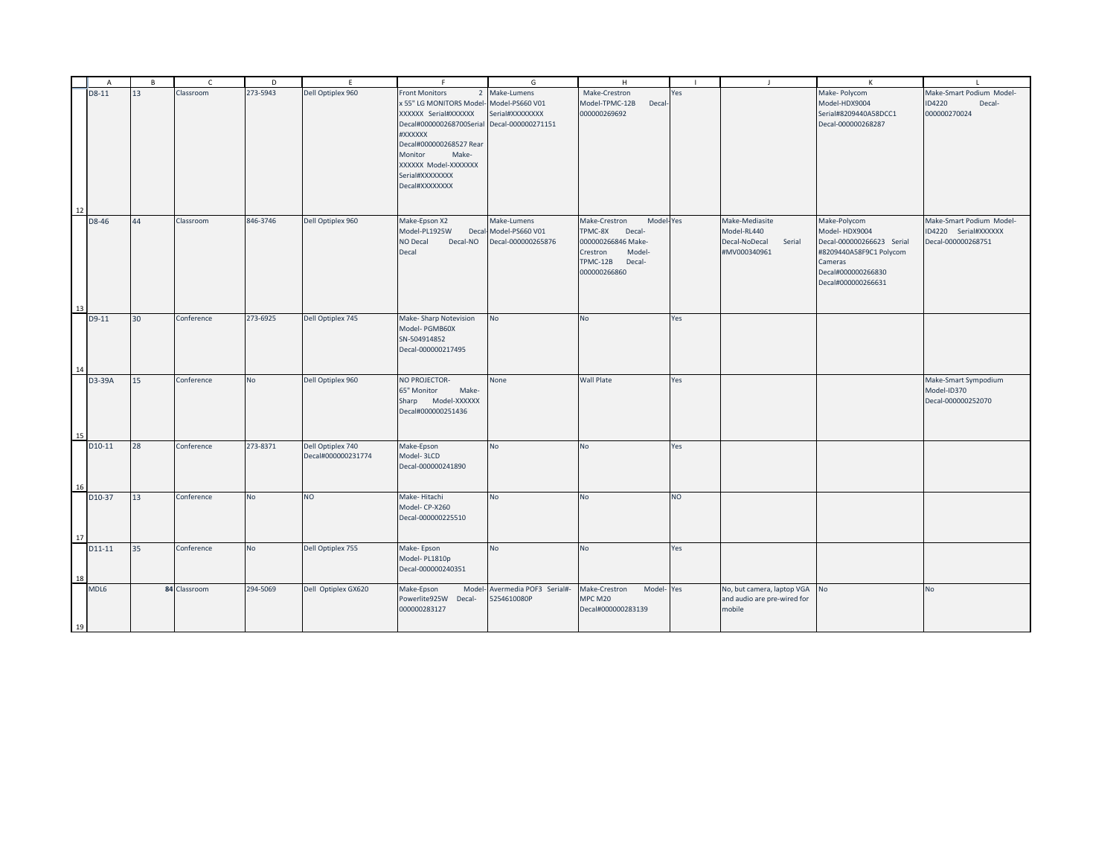| 273-5943<br>D8-11<br>13<br>Classroom<br>Dell Optiplex 960<br>Front Monitors<br>Make-Lumens<br>Make-Crestron<br>Yes<br>Make- Polycom<br>Make-Smart Podium Model-<br>$\overline{2}$<br>x 55" LG MONITORS Model-<br>Model-PS660 V01<br>Model-TPMC-12B<br>Model-HDX9004<br>ID4220<br>Decal<br>Decal-<br>Serial#8209440A58DCC1<br>XXXXXX Serial#XXXXXX<br>Serial#XXXXXXXX<br>000000269692<br>000000270024<br>Decal-000000268287<br>Decal#000000268700Serial<br>Decal-000000271151<br>#XXXXXX<br>Decal#000000268527 Rear<br>Make-<br>Monitor<br>XXXXXX Model-XXXXXXX<br>Serial#XXXXXXXX<br>Decal#XXXXXXXX<br>12<br>D8-46<br>846-3746<br>Dell Optiplex 960<br>Make-Mediasite<br>Make-Polycom<br>44<br>Classroom<br>Make-Epson X2<br>Make-Lumens<br>Make-Crestron<br>Model-Yes<br>Make-Smart Podium Model-<br>Model-HDX9004<br>Model-PL1925W<br>Model-PS660 V01<br>TPMC-8X<br><b>Decal-</b><br>Model-RL440<br>ID4220 Serial#XXXXXX<br>Decal<br>NO Decal<br>Decal-000000265876<br>000000266846 Make-<br>Decal-000000266623 Serial<br>Decal-000000268751<br>Decal-NO<br>Decal-NoDecal<br>Serial<br>Model-<br>#MV000340961<br>#8209440A58F9C1 Polycom<br>Decal<br>Crestron<br>TPMC-12B<br>Decal-<br>Cameras<br>000000266860<br>Decal#000000266830<br>Decal#000000266631<br>13<br>273-6925<br>No<br>D9-11<br>Conference<br>Dell Optiplex 745<br>Make-Sharp Notevision<br>No<br>Yes<br>30<br>Model-PGMB60X<br>SN-504914852<br>Decal-000000217495<br>14<br><b>No</b><br><b>Wall Plate</b><br>Dell Optiplex 960<br>NO PROJECTOR-<br>None<br>Yes<br>D3-39A<br>15<br>Conference<br>Make-Smart Sympodium<br>65" Monitor<br>Model-ID370<br>Make-<br>Sharp Model-XXXXXX<br>Decal-000000252070<br>Decal#000000251436<br>15<br>273-8371<br>Dell Optiplex 740<br>D10-11<br>28<br>Conference<br>Make-Epson<br>N <sub>o</sub><br><b>No</b><br>Yes<br>Decal#000000231774<br>Model-3LCD<br>Decal-000000241890<br>16<br>13<br>Conference<br><b>NO</b><br>Make-Hitachi<br>No<br><b>NO</b><br>D10-37<br><b>No</b><br>No<br>Model-CP-X260<br>Decal-000000225510<br>17<br>Dell Optiplex 755<br>Conference<br>No<br>Yes<br>D11-11<br>35<br><b>No</b><br>Make-Epson<br><b>No</b><br>Model-PL1810p<br>Decal-000000240351<br>18<br>MDL6<br>84 Classroom<br>294-5069<br>Dell Optiplex GX620<br>Model-Yes<br>No, but camera, laptop VGA<br>Make-Epson<br>Avermedia POF3 Serial#-<br>Make-Crestron<br><b>No</b><br>Model<br>No<br>Powerlite925W Decal-<br>5254610080P<br>MPC M20<br>and audio are pre-wired for<br>000000283127<br>Decal#000000283139<br>mobile | $\overline{A}$ | $\overline{B}$ | $\epsilon$ | D | E | F | G | H | $\mathbf{I}$ | $\mathsf{K}$ | $\mathbf{L}$ |
|--------------------------------------------------------------------------------------------------------------------------------------------------------------------------------------------------------------------------------------------------------------------------------------------------------------------------------------------------------------------------------------------------------------------------------------------------------------------------------------------------------------------------------------------------------------------------------------------------------------------------------------------------------------------------------------------------------------------------------------------------------------------------------------------------------------------------------------------------------------------------------------------------------------------------------------------------------------------------------------------------------------------------------------------------------------------------------------------------------------------------------------------------------------------------------------------------------------------------------------------------------------------------------------------------------------------------------------------------------------------------------------------------------------------------------------------------------------------------------------------------------------------------------------------------------------------------------------------------------------------------------------------------------------------------------------------------------------------------------------------------------------------------------------------------------------------------------------------------------------------------------------------------------------------------------------------------------------------------------------------------------------------------------------------------------------------------------------------------------------------------------------------------------------------------------------------------------------------------------------------------------------------------------------------------------------------------------------------------------------------------------------------------------------------------------------------------------------------------------------------------------------------------|----------------|----------------|------------|---|---|---|---|---|--------------|--------------|--------------|
|                                                                                                                                                                                                                                                                                                                                                                                                                                                                                                                                                                                                                                                                                                                                                                                                                                                                                                                                                                                                                                                                                                                                                                                                                                                                                                                                                                                                                                                                                                                                                                                                                                                                                                                                                                                                                                                                                                                                                                                                                                                                                                                                                                                                                                                                                                                                                                                                                                                                                                                          |                |                |            |   |   |   |   |   |              |              |              |
|                                                                                                                                                                                                                                                                                                                                                                                                                                                                                                                                                                                                                                                                                                                                                                                                                                                                                                                                                                                                                                                                                                                                                                                                                                                                                                                                                                                                                                                                                                                                                                                                                                                                                                                                                                                                                                                                                                                                                                                                                                                                                                                                                                                                                                                                                                                                                                                                                                                                                                                          |                |                |            |   |   |   |   |   |              |              |              |
|                                                                                                                                                                                                                                                                                                                                                                                                                                                                                                                                                                                                                                                                                                                                                                                                                                                                                                                                                                                                                                                                                                                                                                                                                                                                                                                                                                                                                                                                                                                                                                                                                                                                                                                                                                                                                                                                                                                                                                                                                                                                                                                                                                                                                                                                                                                                                                                                                                                                                                                          |                |                |            |   |   |   |   |   |              |              |              |
|                                                                                                                                                                                                                                                                                                                                                                                                                                                                                                                                                                                                                                                                                                                                                                                                                                                                                                                                                                                                                                                                                                                                                                                                                                                                                                                                                                                                                                                                                                                                                                                                                                                                                                                                                                                                                                                                                                                                                                                                                                                                                                                                                                                                                                                                                                                                                                                                                                                                                                                          |                |                |            |   |   |   |   |   |              |              |              |
|                                                                                                                                                                                                                                                                                                                                                                                                                                                                                                                                                                                                                                                                                                                                                                                                                                                                                                                                                                                                                                                                                                                                                                                                                                                                                                                                                                                                                                                                                                                                                                                                                                                                                                                                                                                                                                                                                                                                                                                                                                                                                                                                                                                                                                                                                                                                                                                                                                                                                                                          |                |                |            |   |   |   |   |   |              |              |              |
|                                                                                                                                                                                                                                                                                                                                                                                                                                                                                                                                                                                                                                                                                                                                                                                                                                                                                                                                                                                                                                                                                                                                                                                                                                                                                                                                                                                                                                                                                                                                                                                                                                                                                                                                                                                                                                                                                                                                                                                                                                                                                                                                                                                                                                                                                                                                                                                                                                                                                                                          |                |                |            |   |   |   |   |   |              |              |              |
|                                                                                                                                                                                                                                                                                                                                                                                                                                                                                                                                                                                                                                                                                                                                                                                                                                                                                                                                                                                                                                                                                                                                                                                                                                                                                                                                                                                                                                                                                                                                                                                                                                                                                                                                                                                                                                                                                                                                                                                                                                                                                                                                                                                                                                                                                                                                                                                                                                                                                                                          |                |                |            |   |   |   |   |   |              |              |              |
|                                                                                                                                                                                                                                                                                                                                                                                                                                                                                                                                                                                                                                                                                                                                                                                                                                                                                                                                                                                                                                                                                                                                                                                                                                                                                                                                                                                                                                                                                                                                                                                                                                                                                                                                                                                                                                                                                                                                                                                                                                                                                                                                                                                                                                                                                                                                                                                                                                                                                                                          |                |                |            |   |   |   |   |   |              |              |              |
|                                                                                                                                                                                                                                                                                                                                                                                                                                                                                                                                                                                                                                                                                                                                                                                                                                                                                                                                                                                                                                                                                                                                                                                                                                                                                                                                                                                                                                                                                                                                                                                                                                                                                                                                                                                                                                                                                                                                                                                                                                                                                                                                                                                                                                                                                                                                                                                                                                                                                                                          |                |                |            |   |   |   |   |   |              |              |              |
|                                                                                                                                                                                                                                                                                                                                                                                                                                                                                                                                                                                                                                                                                                                                                                                                                                                                                                                                                                                                                                                                                                                                                                                                                                                                                                                                                                                                                                                                                                                                                                                                                                                                                                                                                                                                                                                                                                                                                                                                                                                                                                                                                                                                                                                                                                                                                                                                                                                                                                                          |                |                |            |   |   |   |   |   |              |              |              |
|                                                                                                                                                                                                                                                                                                                                                                                                                                                                                                                                                                                                                                                                                                                                                                                                                                                                                                                                                                                                                                                                                                                                                                                                                                                                                                                                                                                                                                                                                                                                                                                                                                                                                                                                                                                                                                                                                                                                                                                                                                                                                                                                                                                                                                                                                                                                                                                                                                                                                                                          |                |                |            |   |   |   |   |   |              |              |              |
|                                                                                                                                                                                                                                                                                                                                                                                                                                                                                                                                                                                                                                                                                                                                                                                                                                                                                                                                                                                                                                                                                                                                                                                                                                                                                                                                                                                                                                                                                                                                                                                                                                                                                                                                                                                                                                                                                                                                                                                                                                                                                                                                                                                                                                                                                                                                                                                                                                                                                                                          |                |                |            |   |   |   |   |   |              |              |              |
|                                                                                                                                                                                                                                                                                                                                                                                                                                                                                                                                                                                                                                                                                                                                                                                                                                                                                                                                                                                                                                                                                                                                                                                                                                                                                                                                                                                                                                                                                                                                                                                                                                                                                                                                                                                                                                                                                                                                                                                                                                                                                                                                                                                                                                                                                                                                                                                                                                                                                                                          |                |                |            |   |   |   |   |   |              |              |              |
|                                                                                                                                                                                                                                                                                                                                                                                                                                                                                                                                                                                                                                                                                                                                                                                                                                                                                                                                                                                                                                                                                                                                                                                                                                                                                                                                                                                                                                                                                                                                                                                                                                                                                                                                                                                                                                                                                                                                                                                                                                                                                                                                                                                                                                                                                                                                                                                                                                                                                                                          |                |                |            |   |   |   |   |   |              |              |              |
|                                                                                                                                                                                                                                                                                                                                                                                                                                                                                                                                                                                                                                                                                                                                                                                                                                                                                                                                                                                                                                                                                                                                                                                                                                                                                                                                                                                                                                                                                                                                                                                                                                                                                                                                                                                                                                                                                                                                                                                                                                                                                                                                                                                                                                                                                                                                                                                                                                                                                                                          |                |                |            |   |   |   |   |   |              |              |              |
|                                                                                                                                                                                                                                                                                                                                                                                                                                                                                                                                                                                                                                                                                                                                                                                                                                                                                                                                                                                                                                                                                                                                                                                                                                                                                                                                                                                                                                                                                                                                                                                                                                                                                                                                                                                                                                                                                                                                                                                                                                                                                                                                                                                                                                                                                                                                                                                                                                                                                                                          |                |                |            |   |   |   |   |   |              |              |              |
|                                                                                                                                                                                                                                                                                                                                                                                                                                                                                                                                                                                                                                                                                                                                                                                                                                                                                                                                                                                                                                                                                                                                                                                                                                                                                                                                                                                                                                                                                                                                                                                                                                                                                                                                                                                                                                                                                                                                                                                                                                                                                                                                                                                                                                                                                                                                                                                                                                                                                                                          |                |                |            |   |   |   |   |   |              |              |              |
|                                                                                                                                                                                                                                                                                                                                                                                                                                                                                                                                                                                                                                                                                                                                                                                                                                                                                                                                                                                                                                                                                                                                                                                                                                                                                                                                                                                                                                                                                                                                                                                                                                                                                                                                                                                                                                                                                                                                                                                                                                                                                                                                                                                                                                                                                                                                                                                                                                                                                                                          |                |                |            |   |   |   |   |   |              |              |              |
|                                                                                                                                                                                                                                                                                                                                                                                                                                                                                                                                                                                                                                                                                                                                                                                                                                                                                                                                                                                                                                                                                                                                                                                                                                                                                                                                                                                                                                                                                                                                                                                                                                                                                                                                                                                                                                                                                                                                                                                                                                                                                                                                                                                                                                                                                                                                                                                                                                                                                                                          |                |                |            |   |   |   |   |   |              |              |              |
|                                                                                                                                                                                                                                                                                                                                                                                                                                                                                                                                                                                                                                                                                                                                                                                                                                                                                                                                                                                                                                                                                                                                                                                                                                                                                                                                                                                                                                                                                                                                                                                                                                                                                                                                                                                                                                                                                                                                                                                                                                                                                                                                                                                                                                                                                                                                                                                                                                                                                                                          |                |                |            |   |   |   |   |   |              |              |              |
|                                                                                                                                                                                                                                                                                                                                                                                                                                                                                                                                                                                                                                                                                                                                                                                                                                                                                                                                                                                                                                                                                                                                                                                                                                                                                                                                                                                                                                                                                                                                                                                                                                                                                                                                                                                                                                                                                                                                                                                                                                                                                                                                                                                                                                                                                                                                                                                                                                                                                                                          |                |                |            |   |   |   |   |   |              |              |              |
|                                                                                                                                                                                                                                                                                                                                                                                                                                                                                                                                                                                                                                                                                                                                                                                                                                                                                                                                                                                                                                                                                                                                                                                                                                                                                                                                                                                                                                                                                                                                                                                                                                                                                                                                                                                                                                                                                                                                                                                                                                                                                                                                                                                                                                                                                                                                                                                                                                                                                                                          |                |                |            |   |   |   |   |   |              |              |              |
|                                                                                                                                                                                                                                                                                                                                                                                                                                                                                                                                                                                                                                                                                                                                                                                                                                                                                                                                                                                                                                                                                                                                                                                                                                                                                                                                                                                                                                                                                                                                                                                                                                                                                                                                                                                                                                                                                                                                                                                                                                                                                                                                                                                                                                                                                                                                                                                                                                                                                                                          |                |                |            |   |   |   |   |   |              |              |              |
|                                                                                                                                                                                                                                                                                                                                                                                                                                                                                                                                                                                                                                                                                                                                                                                                                                                                                                                                                                                                                                                                                                                                                                                                                                                                                                                                                                                                                                                                                                                                                                                                                                                                                                                                                                                                                                                                                                                                                                                                                                                                                                                                                                                                                                                                                                                                                                                                                                                                                                                          |                |                |            |   |   |   |   |   |              |              |              |
|                                                                                                                                                                                                                                                                                                                                                                                                                                                                                                                                                                                                                                                                                                                                                                                                                                                                                                                                                                                                                                                                                                                                                                                                                                                                                                                                                                                                                                                                                                                                                                                                                                                                                                                                                                                                                                                                                                                                                                                                                                                                                                                                                                                                                                                                                                                                                                                                                                                                                                                          |                |                |            |   |   |   |   |   |              |              |              |
|                                                                                                                                                                                                                                                                                                                                                                                                                                                                                                                                                                                                                                                                                                                                                                                                                                                                                                                                                                                                                                                                                                                                                                                                                                                                                                                                                                                                                                                                                                                                                                                                                                                                                                                                                                                                                                                                                                                                                                                                                                                                                                                                                                                                                                                                                                                                                                                                                                                                                                                          |                |                |            |   |   |   |   |   |              |              |              |
|                                                                                                                                                                                                                                                                                                                                                                                                                                                                                                                                                                                                                                                                                                                                                                                                                                                                                                                                                                                                                                                                                                                                                                                                                                                                                                                                                                                                                                                                                                                                                                                                                                                                                                                                                                                                                                                                                                                                                                                                                                                                                                                                                                                                                                                                                                                                                                                                                                                                                                                          |                |                |            |   |   |   |   |   |              |              |              |
|                                                                                                                                                                                                                                                                                                                                                                                                                                                                                                                                                                                                                                                                                                                                                                                                                                                                                                                                                                                                                                                                                                                                                                                                                                                                                                                                                                                                                                                                                                                                                                                                                                                                                                                                                                                                                                                                                                                                                                                                                                                                                                                                                                                                                                                                                                                                                                                                                                                                                                                          |                |                |            |   |   |   |   |   |              |              |              |
|                                                                                                                                                                                                                                                                                                                                                                                                                                                                                                                                                                                                                                                                                                                                                                                                                                                                                                                                                                                                                                                                                                                                                                                                                                                                                                                                                                                                                                                                                                                                                                                                                                                                                                                                                                                                                                                                                                                                                                                                                                                                                                                                                                                                                                                                                                                                                                                                                                                                                                                          |                |                |            |   |   |   |   |   |              |              |              |
|                                                                                                                                                                                                                                                                                                                                                                                                                                                                                                                                                                                                                                                                                                                                                                                                                                                                                                                                                                                                                                                                                                                                                                                                                                                                                                                                                                                                                                                                                                                                                                                                                                                                                                                                                                                                                                                                                                                                                                                                                                                                                                                                                                                                                                                                                                                                                                                                                                                                                                                          |                |                |            |   |   |   |   |   |              |              |              |
|                                                                                                                                                                                                                                                                                                                                                                                                                                                                                                                                                                                                                                                                                                                                                                                                                                                                                                                                                                                                                                                                                                                                                                                                                                                                                                                                                                                                                                                                                                                                                                                                                                                                                                                                                                                                                                                                                                                                                                                                                                                                                                                                                                                                                                                                                                                                                                                                                                                                                                                          |                |                |            |   |   |   |   |   |              |              |              |
|                                                                                                                                                                                                                                                                                                                                                                                                                                                                                                                                                                                                                                                                                                                                                                                                                                                                                                                                                                                                                                                                                                                                                                                                                                                                                                                                                                                                                                                                                                                                                                                                                                                                                                                                                                                                                                                                                                                                                                                                                                                                                                                                                                                                                                                                                                                                                                                                                                                                                                                          |                |                |            |   |   |   |   |   |              |              |              |
|                                                                                                                                                                                                                                                                                                                                                                                                                                                                                                                                                                                                                                                                                                                                                                                                                                                                                                                                                                                                                                                                                                                                                                                                                                                                                                                                                                                                                                                                                                                                                                                                                                                                                                                                                                                                                                                                                                                                                                                                                                                                                                                                                                                                                                                                                                                                                                                                                                                                                                                          |                |                |            |   |   |   |   |   |              |              |              |
|                                                                                                                                                                                                                                                                                                                                                                                                                                                                                                                                                                                                                                                                                                                                                                                                                                                                                                                                                                                                                                                                                                                                                                                                                                                                                                                                                                                                                                                                                                                                                                                                                                                                                                                                                                                                                                                                                                                                                                                                                                                                                                                                                                                                                                                                                                                                                                                                                                                                                                                          |                |                |            |   |   |   |   |   |              |              |              |
|                                                                                                                                                                                                                                                                                                                                                                                                                                                                                                                                                                                                                                                                                                                                                                                                                                                                                                                                                                                                                                                                                                                                                                                                                                                                                                                                                                                                                                                                                                                                                                                                                                                                                                                                                                                                                                                                                                                                                                                                                                                                                                                                                                                                                                                                                                                                                                                                                                                                                                                          |                |                |            |   |   |   |   |   |              |              |              |
|                                                                                                                                                                                                                                                                                                                                                                                                                                                                                                                                                                                                                                                                                                                                                                                                                                                                                                                                                                                                                                                                                                                                                                                                                                                                                                                                                                                                                                                                                                                                                                                                                                                                                                                                                                                                                                                                                                                                                                                                                                                                                                                                                                                                                                                                                                                                                                                                                                                                                                                          |                |                |            |   |   |   |   |   |              |              |              |
|                                                                                                                                                                                                                                                                                                                                                                                                                                                                                                                                                                                                                                                                                                                                                                                                                                                                                                                                                                                                                                                                                                                                                                                                                                                                                                                                                                                                                                                                                                                                                                                                                                                                                                                                                                                                                                                                                                                                                                                                                                                                                                                                                                                                                                                                                                                                                                                                                                                                                                                          |                |                |            |   |   |   |   |   |              |              |              |
|                                                                                                                                                                                                                                                                                                                                                                                                                                                                                                                                                                                                                                                                                                                                                                                                                                                                                                                                                                                                                                                                                                                                                                                                                                                                                                                                                                                                                                                                                                                                                                                                                                                                                                                                                                                                                                                                                                                                                                                                                                                                                                                                                                                                                                                                                                                                                                                                                                                                                                                          |                |                |            |   |   |   |   |   |              |              |              |
|                                                                                                                                                                                                                                                                                                                                                                                                                                                                                                                                                                                                                                                                                                                                                                                                                                                                                                                                                                                                                                                                                                                                                                                                                                                                                                                                                                                                                                                                                                                                                                                                                                                                                                                                                                                                                                                                                                                                                                                                                                                                                                                                                                                                                                                                                                                                                                                                                                                                                                                          |                |                |            |   |   |   |   |   |              |              |              |
|                                                                                                                                                                                                                                                                                                                                                                                                                                                                                                                                                                                                                                                                                                                                                                                                                                                                                                                                                                                                                                                                                                                                                                                                                                                                                                                                                                                                                                                                                                                                                                                                                                                                                                                                                                                                                                                                                                                                                                                                                                                                                                                                                                                                                                                                                                                                                                                                                                                                                                                          |                |                |            |   |   |   |   |   |              |              |              |
|                                                                                                                                                                                                                                                                                                                                                                                                                                                                                                                                                                                                                                                                                                                                                                                                                                                                                                                                                                                                                                                                                                                                                                                                                                                                                                                                                                                                                                                                                                                                                                                                                                                                                                                                                                                                                                                                                                                                                                                                                                                                                                                                                                                                                                                                                                                                                                                                                                                                                                                          |                |                |            |   |   |   |   |   |              |              |              |
|                                                                                                                                                                                                                                                                                                                                                                                                                                                                                                                                                                                                                                                                                                                                                                                                                                                                                                                                                                                                                                                                                                                                                                                                                                                                                                                                                                                                                                                                                                                                                                                                                                                                                                                                                                                                                                                                                                                                                                                                                                                                                                                                                                                                                                                                                                                                                                                                                                                                                                                          |                |                |            |   |   |   |   |   |              |              |              |
|                                                                                                                                                                                                                                                                                                                                                                                                                                                                                                                                                                                                                                                                                                                                                                                                                                                                                                                                                                                                                                                                                                                                                                                                                                                                                                                                                                                                                                                                                                                                                                                                                                                                                                                                                                                                                                                                                                                                                                                                                                                                                                                                                                                                                                                                                                                                                                                                                                                                                                                          |                |                |            |   |   |   |   |   |              |              |              |
|                                                                                                                                                                                                                                                                                                                                                                                                                                                                                                                                                                                                                                                                                                                                                                                                                                                                                                                                                                                                                                                                                                                                                                                                                                                                                                                                                                                                                                                                                                                                                                                                                                                                                                                                                                                                                                                                                                                                                                                                                                                                                                                                                                                                                                                                                                                                                                                                                                                                                                                          |                |                |            |   |   |   |   |   |              |              |              |
|                                                                                                                                                                                                                                                                                                                                                                                                                                                                                                                                                                                                                                                                                                                                                                                                                                                                                                                                                                                                                                                                                                                                                                                                                                                                                                                                                                                                                                                                                                                                                                                                                                                                                                                                                                                                                                                                                                                                                                                                                                                                                                                                                                                                                                                                                                                                                                                                                                                                                                                          |                |                |            |   |   |   |   |   |              |              |              |
|                                                                                                                                                                                                                                                                                                                                                                                                                                                                                                                                                                                                                                                                                                                                                                                                                                                                                                                                                                                                                                                                                                                                                                                                                                                                                                                                                                                                                                                                                                                                                                                                                                                                                                                                                                                                                                                                                                                                                                                                                                                                                                                                                                                                                                                                                                                                                                                                                                                                                                                          |                |                |            |   |   |   |   |   |              |              |              |
|                                                                                                                                                                                                                                                                                                                                                                                                                                                                                                                                                                                                                                                                                                                                                                                                                                                                                                                                                                                                                                                                                                                                                                                                                                                                                                                                                                                                                                                                                                                                                                                                                                                                                                                                                                                                                                                                                                                                                                                                                                                                                                                                                                                                                                                                                                                                                                                                                                                                                                                          |                |                |            |   |   |   |   |   |              |              |              |
|                                                                                                                                                                                                                                                                                                                                                                                                                                                                                                                                                                                                                                                                                                                                                                                                                                                                                                                                                                                                                                                                                                                                                                                                                                                                                                                                                                                                                                                                                                                                                                                                                                                                                                                                                                                                                                                                                                                                                                                                                                                                                                                                                                                                                                                                                                                                                                                                                                                                                                                          |                |                |            |   |   |   |   |   |              |              |              |
|                                                                                                                                                                                                                                                                                                                                                                                                                                                                                                                                                                                                                                                                                                                                                                                                                                                                                                                                                                                                                                                                                                                                                                                                                                                                                                                                                                                                                                                                                                                                                                                                                                                                                                                                                                                                                                                                                                                                                                                                                                                                                                                                                                                                                                                                                                                                                                                                                                                                                                                          |                |                |            |   |   |   |   |   |              |              |              |
| 19                                                                                                                                                                                                                                                                                                                                                                                                                                                                                                                                                                                                                                                                                                                                                                                                                                                                                                                                                                                                                                                                                                                                                                                                                                                                                                                                                                                                                                                                                                                                                                                                                                                                                                                                                                                                                                                                                                                                                                                                                                                                                                                                                                                                                                                                                                                                                                                                                                                                                                                       |                |                |            |   |   |   |   |   |              |              |              |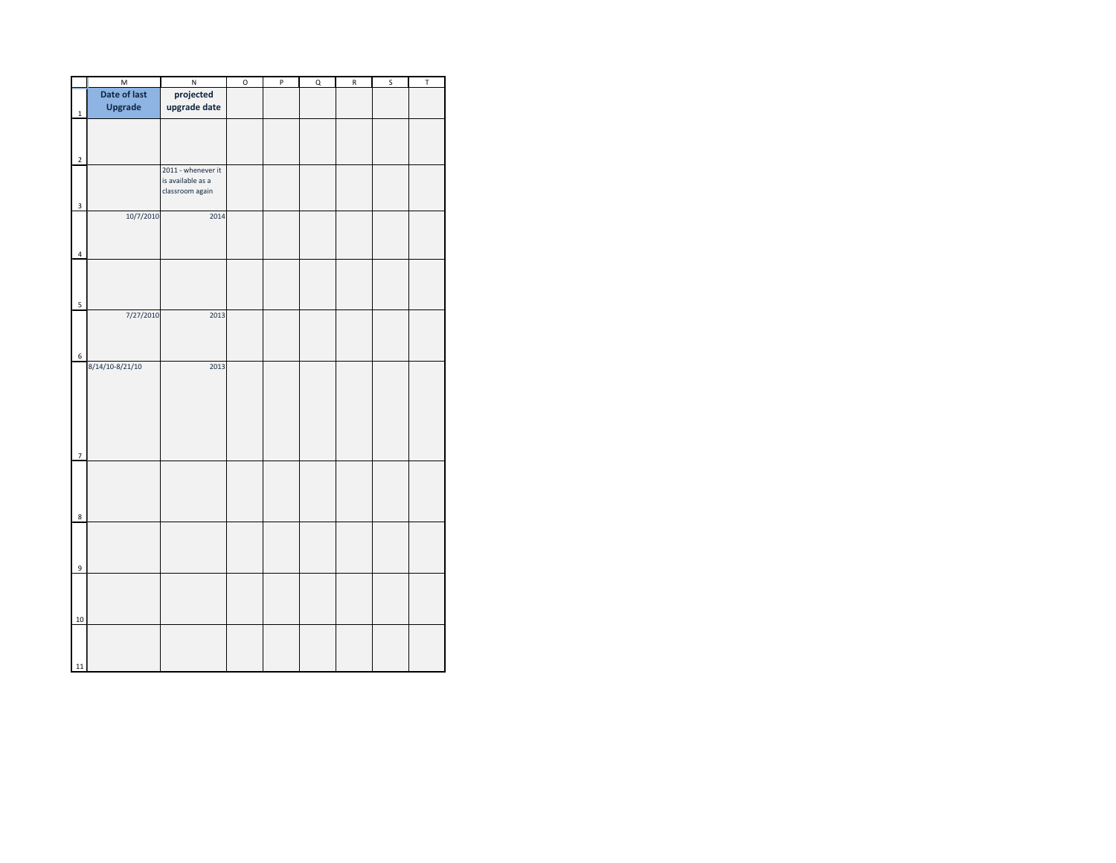|                         | $\overline{M}$  | $\sf N$            | O | $\sf P$ | $\sf Q$ | ${\sf R}$ | $\sf S$ | $\mathsf T$ |
|-------------------------|-----------------|--------------------|---|---------|---------|-----------|---------|-------------|
|                         | Date of last    | projected          |   |         |         |           |         |             |
| $\overline{1}$          | <b>Upgrade</b>  | upgrade date       |   |         |         |           |         |             |
|                         |                 |                    |   |         |         |           |         |             |
|                         |                 |                    |   |         |         |           |         |             |
|                         |                 |                    |   |         |         |           |         |             |
|                         |                 |                    |   |         |         |           |         |             |
| $\overline{2}$          |                 | 2011 - whenever it |   |         |         |           |         |             |
|                         |                 | is available as a  |   |         |         |           |         |             |
|                         |                 | classroom again    |   |         |         |           |         |             |
| 3                       |                 |                    |   |         |         |           |         |             |
|                         | 10/7/2010       | 2014               |   |         |         |           |         |             |
|                         |                 |                    |   |         |         |           |         |             |
|                         |                 |                    |   |         |         |           |         |             |
|                         |                 |                    |   |         |         |           |         |             |
| $\overline{4}$          |                 |                    |   |         |         |           |         |             |
|                         |                 |                    |   |         |         |           |         |             |
|                         |                 |                    |   |         |         |           |         |             |
|                         |                 |                    |   |         |         |           |         |             |
| 5                       |                 |                    |   |         |         |           |         |             |
|                         | 7/27/2010       | 2013               |   |         |         |           |         |             |
|                         |                 |                    |   |         |         |           |         |             |
|                         |                 |                    |   |         |         |           |         |             |
| 6                       |                 |                    |   |         |         |           |         |             |
|                         | 8/14/10-8/21/10 | 2013               |   |         |         |           |         |             |
|                         |                 |                    |   |         |         |           |         |             |
|                         |                 |                    |   |         |         |           |         |             |
|                         |                 |                    |   |         |         |           |         |             |
|                         |                 |                    |   |         |         |           |         |             |
|                         |                 |                    |   |         |         |           |         |             |
|                         |                 |                    |   |         |         |           |         |             |
|                         |                 |                    |   |         |         |           |         |             |
| $\overline{7}$          |                 |                    |   |         |         |           |         |             |
|                         |                 |                    |   |         |         |           |         |             |
|                         |                 |                    |   |         |         |           |         |             |
|                         |                 |                    |   |         |         |           |         |             |
|                         |                 |                    |   |         |         |           |         |             |
| $\overline{\mathbf{8}}$ |                 |                    |   |         |         |           |         |             |
|                         |                 |                    |   |         |         |           |         |             |
|                         |                 |                    |   |         |         |           |         |             |
|                         |                 |                    |   |         |         |           |         |             |
| 9                       |                 |                    |   |         |         |           |         |             |
|                         |                 |                    |   |         |         |           |         |             |
|                         |                 |                    |   |         |         |           |         |             |
|                         |                 |                    |   |         |         |           |         |             |
|                         |                 |                    |   |         |         |           |         |             |
| 10                      |                 |                    |   |         |         |           |         |             |
|                         |                 |                    |   |         |         |           |         |             |
|                         |                 |                    |   |         |         |           |         |             |
|                         |                 |                    |   |         |         |           |         |             |
| 11                      |                 |                    |   |         |         |           |         |             |